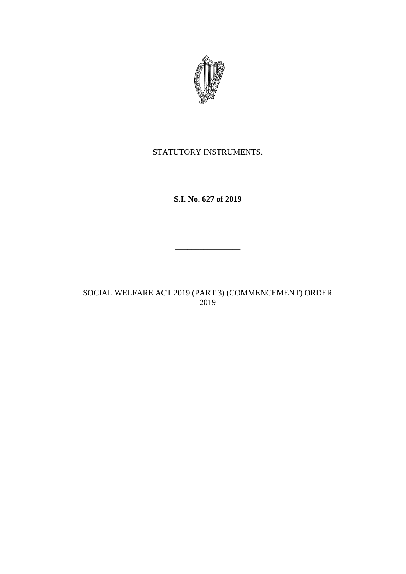

## STATUTORY INSTRUMENTS.

**S.I. No. 627 of 2019**

\_\_\_\_\_\_\_\_\_\_\_\_\_\_\_\_

SOCIAL WELFARE ACT 2019 (PART 3) (COMMENCEMENT) ORDER 2019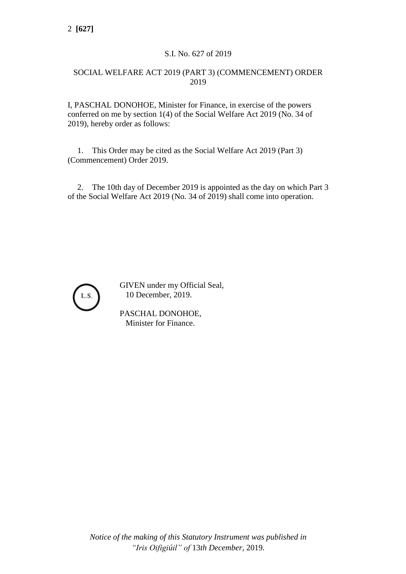## S.I. No. 627 of 2019

## SOCIAL WELFARE ACT 2019 (PART 3) (COMMENCEMENT) ORDER 2019

I, PASCHAL DONOHOE, Minister for Finance, in exercise of the powers conferred on me by section 1(4) of the Social Welfare Act 2019 (No. 34 of 2019), hereby order as follows:

1. This Order may be cited as the Social Welfare Act 2019 (Part 3) (Commencement) Order 2019.

2. The 10th day of December 2019 is appointed as the day on which Part 3 of the Social Welfare Act 2019 (No. 34 of 2019) shall come into operation.



GIVEN under my Official Seal, 10 December, 2019.

PASCHAL DONOHOE, Minister for Finance.